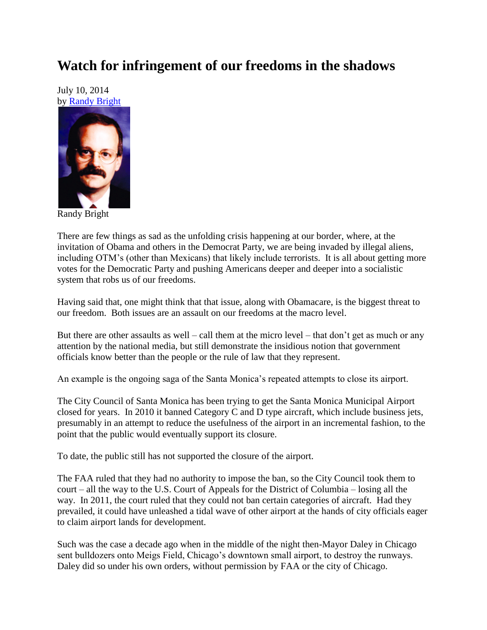## **Watch for infringement of our freedoms in the shadows**

July 10, 2014 by [Randy Bright](http://tulsabeacon.com/writers/randy-bright/)



Randy Bright

There are few things as sad as the unfolding crisis happening at our border, where, at the invitation of Obama and others in the Democrat Party, we are being invaded by illegal aliens, including OTM"s (other than Mexicans) that likely include terrorists. It is all about getting more votes for the Democratic Party and pushing Americans deeper and deeper into a socialistic system that robs us of our freedoms.

Having said that, one might think that that issue, along with Obamacare, is the biggest threat to our freedom. Both issues are an assault on our freedoms at the macro level.

But there are other assaults as well – call them at the micro level – that don"t get as much or any attention by the national media, but still demonstrate the insidious notion that government officials know better than the people or the rule of law that they represent.

An example is the ongoing saga of the Santa Monica"s repeated attempts to close its airport.

The City Council of Santa Monica has been trying to get the Santa Monica Municipal Airport closed for years. In 2010 it banned Category C and D type aircraft, which include business jets, presumably in an attempt to reduce the usefulness of the airport in an incremental fashion, to the point that the public would eventually support its closure.

To date, the public still has not supported the closure of the airport.

The FAA ruled that they had no authority to impose the ban, so the City Council took them to court – all the way to the U.S. Court of Appeals for the District of Columbia – losing all the way. In 2011, the court ruled that they could not ban certain categories of aircraft. Had they prevailed, it could have unleashed a tidal wave of other airport at the hands of city officials eager to claim airport lands for development.

Such was the case a decade ago when in the middle of the night then-Mayor Daley in Chicago sent bulldozers onto Meigs Field, Chicago's downtown small airport, to destroy the runways. Daley did so under his own orders, without permission by FAA or the city of Chicago.